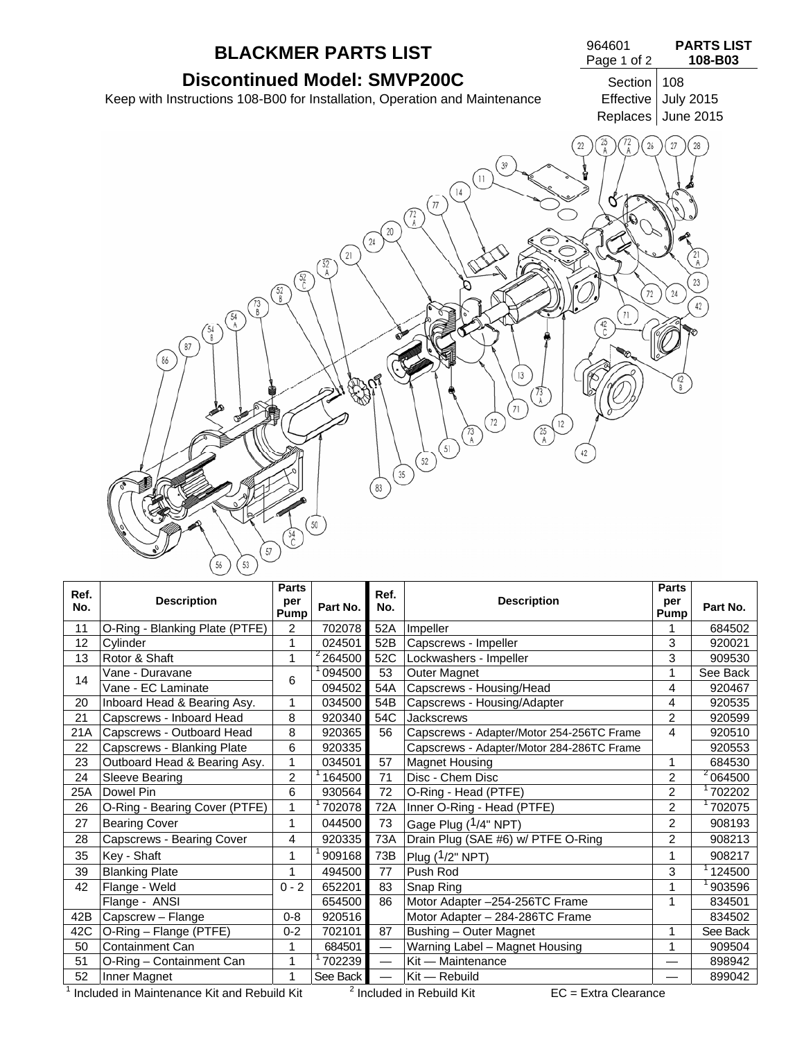

| Ref.<br>No. | <b>Description</b>             | <b>Parts</b><br>per                                | Part No.                                    | Ref.<br>No.                 | <b>Description</b>                        |                | Part No. |
|-------------|--------------------------------|----------------------------------------------------|---------------------------------------------|-----------------------------|-------------------------------------------|----------------|----------|
|             |                                | Pump                                               |                                             |                             |                                           | Pump           |          |
| 11          | O-Ring - Blanking Plate (PTFE) | 2                                                  |                                             | 702078<br>52A<br>Impeller   |                                           |                | 684502   |
| 12          | Cylinder                       | 1                                                  | 024501                                      | 52B<br>Capscrews - Impeller |                                           | 3              | 920021   |
| 13          | Rotor & Shaft                  | 1                                                  | <sup>2</sup> 264500                         | 52C                         | Lockwashers - Impeller                    | 3              | 909530   |
| 14          | Vane - Duravane                | 6                                                  | 094500                                      | 53                          | Outer Magnet                              | 1              | See Back |
|             | Vane - EC Laminate             |                                                    | 094502                                      | 54A                         | Capscrews - Housing/Head                  | 4              | 920467   |
| 20          | Inboard Head & Bearing Asy.    | 1                                                  | 034500                                      | 54B                         | Capscrews - Housing/Adapter               | 4              | 920535   |
| 21          | Capscrews - Inboard Head       | 8                                                  | 920340                                      | 54C                         | <b>Jackscrews</b>                         |                | 920599   |
| 21A         | Capscrews - Outboard Head      | 8                                                  | 920365                                      | 56                          | Capscrews - Adapter/Motor 254-256TC Frame | 4              | 920510   |
| 22          | Capscrews - Blanking Plate     | 6                                                  | 920335                                      |                             | Capscrews - Adapter/Motor 284-286TC Frame |                | 920553   |
| 23          | Outboard Head & Bearing Asy.   | 57<br>034501<br>1<br><b>Magnet Housing</b>         |                                             | 1                           | 684530                                    |                |          |
| 24          | Sleeve Bearing                 | $\overline{c}$<br>Disc - Chem Disc<br>71<br>164500 |                                             | $\overline{2}$              | 2064500                                   |                |          |
| 25A         | Dowel Pin                      | 6                                                  | 930564                                      | 72                          | O-Ring - Head (PTFE)                      | $\overline{2}$ | 702202   |
| 26          | O-Ring - Bearing Cover (PTFE)  | 1                                                  | 702078<br>Inner O-Ring - Head (PTFE)<br>72A |                             | $\overline{2}$                            | 702075         |          |
| 27          | <b>Bearing Cover</b>           | 1                                                  | 044500                                      | 73                          | Gage Plug (1/4" NPT)                      | $\overline{2}$ | 908193   |
| 28          | Capscrews - Bearing Cover      | 4                                                  | 920335                                      | 73A                         | Drain Plug (SAE #6) w/ PTFE O-Ring        | $\overline{2}$ | 908213   |
| 35          | Key - Shaft                    | 1                                                  | 909168                                      | 73B                         | Plug $(1/2"$ NPT)                         |                | 908217   |
| 39          | <b>Blanking Plate</b>          | 1                                                  | 494500                                      | 77                          | Push Rod                                  | 3              | 124500   |
| 42          | Flange - Weld                  | $0 - 2$                                            | 652201                                      | 83                          | Snap Ring                                 |                | 903596   |
|             | Flange - ANSI                  |                                                    | 654500                                      | 86                          | Motor Adapter -254-256TC Frame            | 1              | 834501   |
| 42B         | Capscrew - Flange              | $0 - 8$                                            | 920516                                      |                             | Motor Adapter - 284-286TC Frame           |                | 834502   |
| 42C         | O-Ring - Flange (PTFE)         | $0 - 2$                                            | 702101                                      | 87                          | Bushing - Outer Magnet                    | 1              | See Back |
| 50          | <b>Containment Can</b>         | 1                                                  | 684501                                      |                             | Warning Label - Magnet Housing            |                | 909504   |
| 51          | O-Ring - Containment Can       | 1                                                  | 702239                                      |                             | Kit - Maintenance                         |                | 898942   |
| 52          | Inner Magnet                   | 1                                                  | See Back                                    | $\overline{\phantom{0}}$    | Kit - Rebuild                             |                | 899042   |

 $^1$  Included in Maintenance Kit and Rebuild Kit  $2^2$ 

 $I<sup>2</sup>$  Included in Rebuild Kit EC = Extra Clearance